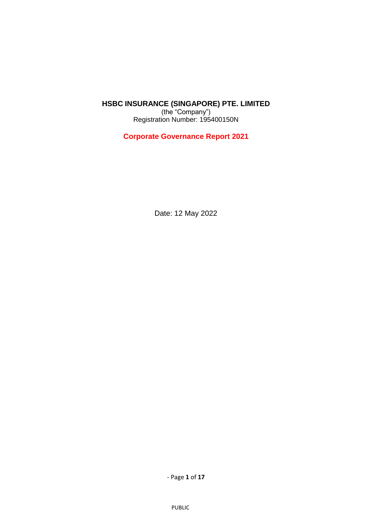## **HSBC INSURANCE (SINGAPORE) PTE. LIMITED**

(the "Company") Registration Number: 195400150N

**Corporate Governance Report 2021**

Date: 12 May 2022

- Page **1** of **17**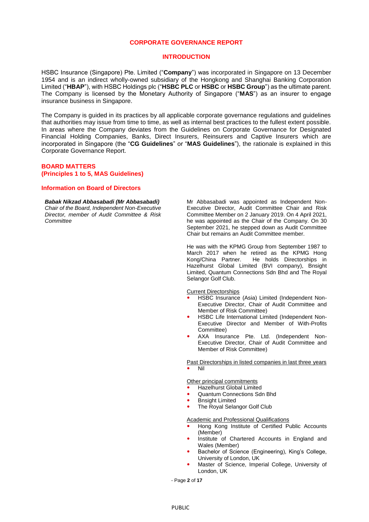#### **CORPORATE GOVERNANCE REPORT**

#### **INTRODUCTION**

HSBC Insurance (Singapore) Pte. Limited ("**Company**") was incorporated in Singapore on 13 December 1954 and is an indirect wholly-owned subsidiary of the Hongkong and Shanghai Banking Corporation Limited ("**HBAP**"), with HSBC Holdings plc ("**HSBC PLC** or **HSBC** or **HSBC Group**") as the ultimate parent. The Company is licensed by the Monetary Authority of Singapore ("**MAS**") as an insurer to engage insurance business in Singapore.

The Company is guided in its practices by all applicable corporate governance regulations and guidelines that authorities may issue from time to time, as well as internal best practices to the fullest extent possible. In areas where the Company deviates from the Guidelines on Corporate Governance for Designated Financial Holding Companies, Banks, Direct Insurers, Reinsurers and Captive Insurers which are incorporated in Singapore (the "**CG Guidelines**" or "**MAS Guidelines**"), the rationale is explained in this Corporate Governance Report.

#### **BOARD MATTERS (Principles 1 to 5, MAS Guidelines)**

### **Information on Board of Directors**

#### *Babak Nikzad Abbasabadi (Mr Abbasabadi)*

*Chair of the Board, Independent Non-Executive Director, member of Audit Committee & Risk Committee* 

Mr Abbasabadi was appointed as Independent Non-Executive Director, Audit Committee Chair and Risk Committee Member on 2 January 2019. On 4 April 2021, he was appointed as the Chair of the Company. On 30 September 2021, he stepped down as Audit Committee Chair but remains an Audit Committee member.

He was with the KPMG Group from September 1987 to March 2017 when he retired as the KPMG Hong<br>Kong/China Partner. He holds Directorships in He holds Directorships in Hazelhurst Global Limited (BVI company), Bnsight Limited, Quantum Connections Sdn Bhd and The Royal Selangor Golf Club.

Current Directorships

- HSBC Insurance (Asia) Limited (Independent Non-Executive Director, Chair of Audit Committee and Member of Risk Committee)
- HSBC Life International Limited (Independent Non-Executive Director and Member of With-Profits Committee)
- AXA Insurance Pte. Ltd. (Independent Non-Executive Director, Chair of Audit Committee and Member of Risk Committee)

Past Directorships in listed companies in last three years Nil

Other principal commitments

- Hazelhurst Global Limited
- Quantum Connections Sdn Bhd
- Bnsight Limited
- The Royal Selangor Golf Club

#### Academic and Professional Qualifications

- Hong Kong Institute of Certified Public Accounts (Member)
- Institute of Chartered Accounts in England and Wales (Member)
- Bachelor of Science (Engineering), King's College, University of London, UK
- Master of Science, Imperial College, University of London, UK

- Page **2** of **17**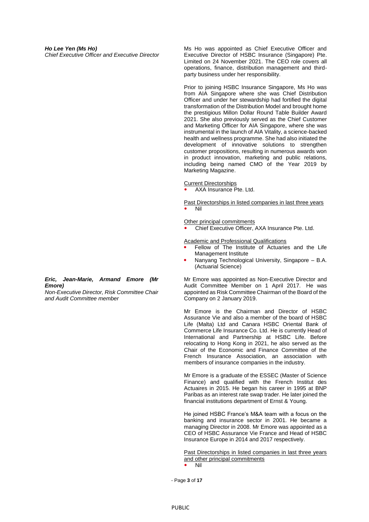Ms Ho was appointed as Chief Executive Officer and Executive Director of HSBC Insurance (Singapore) Pte. Limited on 24 November 2021. The CEO role covers all operations, finance, distribution management and thirdparty business under her responsibility.

Prior to joining HSBC Insurance Singapore, Ms Ho was from AIA Singapore where she was Chief Distribution Officer and under her stewardship had fortified the digital transformation of the Distribution Model and brought home the prestigious Millon Dollar Round Table Builder Award 2021. She also previously served as the Chief Customer and Marketing Officer for AIA Singapore, where she was instrumental in the launch of AIA Vitality, a science-backed health and wellness programme. She had also initiated the development of innovative solutions to strengthen customer propositions, resulting in numerous awards won in product innovation, marketing and public relations, including being named CMO of the Year 2019 by Marketing Magazine.

Current Directorships

AXA Insurance Pte. Ltd.

Past Directorships in listed companies in last three years Nil

#### **Other principal commitments**

Chief Executive Officer, AXA Insurance Pte. Ltd.

Academic and Professional Qualifications

- Fellow of The Institute of Actuaries and the Life Management Institute
- Nanyang Technological University, Singapore B.A. (Actuarial Science)

Mr Emore was appointed as Non-Executive Director and Audit Committee Member on 1 April 2017. He was appointed as Risk Committee Chairman of the Board of the Company on 2 January 2019.

Mr Emore is the Chairman and Director of HSBC Assurance Vie and also a member of the board of HSBC Life (Malta) Ltd and Canara HSBC Oriental Bank of Commerce Life Insurance Co. Ltd. He is currently Head of International and Partnership at HSBC Life. Before relocating to Hong Kong in 2021, he also served as the Chair of the Economic and Finance Committee of the French Insurance Association, an association with members of insurance companies in the industry.

Mr Emore is a graduate of the ESSEC (Master of Science Finance) and qualified with the French Institut des Actuaires in 2015. He began his career in 1995 at BNP Paribas as an interest rate swap trader. He later joined the financial institutions department of Ernst & Young.

He joined HSBC France's M&A team with a focus on the banking and insurance sector in 2001. He became a managing Director in 2008. Mr Emore was appointed as a CEO of HSBC Assurance Vie France and Head of HSBC Insurance Europe in 2014 and 2017 respectively.

Past Directorships in listed companies in last three years and other principal commitments

Nil

- Page **3** of **17**

### *Eric, Jean-Marie, Armand Emore (Mr Emore)*

*Non-Executive Director, Risk Committee Chair and Audit Committee member*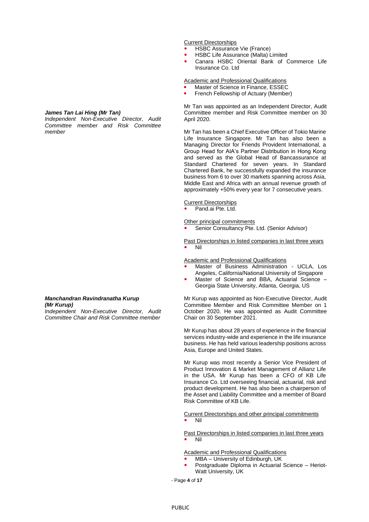# Current Directorships

- HSBC Assurance Vie (France)
- **HSBC Life Assurance (Malta) Limited**
- Canara HSBC Oriental Bank of Commerce Life Insurance Co. Ltd

Academic and Professional Qualifications

- Master of Science in Finance, ESSEC
- French Fellowship of Actuary (Member)

Mr Tan was appointed as an Independent Director, Audit Committee member and Risk Committee member on 30 April 2020.

Mr Tan has been a Chief Executive Officer of Tokio Marine Life Insurance Singapore. Mr Tan has also been a Managing Director for Friends Provident International, a Group Head for AIA's Partner Distribution in Hong Kong and served as the Global Head of Bancassurance at Standard Chartered for seven years. In Standard Chartered Bank, he successfully expanded the insurance business from 6 to over 30 markets spanning across Asia, Middle East and Africa with an annual revenue growth of approximately +50% every year for 7 consecutive years.

#### Current Directorships

Pand.ai Pte. Ltd.

#### Other principal commitments

Senior Consultancy Pte. Ltd. (Senior Advisor)

#### Past Directorships in listed companies in last three years Nil

**Academic and Professional Qualifications** 

- Master of Business Administration UCLA, Los Angeles, California/National University of Singapore
- Master of Science and BBA, Actuarial Science Georgia State University, Atlanta, Georgia, US

Mr Kurup was appointed as Non-Executive Director, Audit Committee Member and Risk Committee Member on 1 October 2020. He was appointed as Audit Committee Chair on 30 September 2021.

Mr Kurup has about 28 years of experience in the financial services industry-wide and experience in the life insurance business. He has held various leadership positions across Asia, Europe and United States.

Mr Kurup was most recently a Senior Vice President of Product Innovation & Market Management of Allianz Life in the USA. Mr Kurup has been a CFO of KB Life Insurance Co. Ltd overseeing financial, actuarial, risk and product development. He has also been a chairperson of the Asset and Liability Committee and a member of Board Risk Committee of KB Life.

Current Directorships and other principal commitments Nil

Past Directorships in listed companies in last three years

Nil

Academic and Professional Qualifications

- MBA University of Edinburgh, UK
- Postgraduate Diploma in Actuarial Science Heriot-Watt University, UK

- Page **4** of **17**

### *James Tan Lai Hing (Mr Tan)*

*Independent Non-Executive Director, Audit Committee member and Risk Committee member* 

#### *Manchandran Ravindranatha Kurup (Mr Kurup)*

*Independent Non-Executive Director, Audit Committee Chair and Risk Committee member*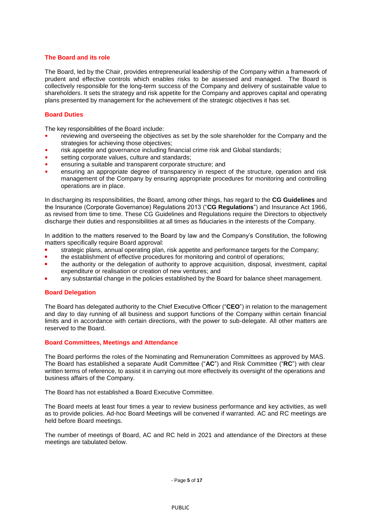### **The Board and its role**

The Board, led by the Chair, provides entrepreneurial leadership of the Company within a framework of prudent and effective controls which enables risks to be assessed and managed. The Board is collectively responsible for the long-term success of the Company and delivery of sustainable value to shareholders. It sets the strategy and risk appetite for the Company and approves capital and operating plans presented by management for the achievement of the strategic objectives it has set.

### **Board Duties**

The key responsibilities of the Board include:

- reviewing and overseeing the objectives as set by the sole shareholder for the Company and the strategies for achieving those objectives;
- risk appetite and governance including financial crime risk and Global standards;
- setting corporate values, culture and standards;
- ensuring a suitable and transparent corporate structure; and
- ensuring an appropriate degree of transparency in respect of the structure, operation and risk management of the Company by ensuring appropriate procedures for monitoring and controlling operations are in place.

In discharging its responsibilities, the Board, among other things, has regard to the **CG Guidelines** and the Insurance (Corporate Governance) Regulations 2013 ("**CG Regulations**") and Insurance Act 1966, as revised from time to time. These CG Guidelines and Regulations require the Directors to objectively discharge their duties and responsibilities at all times as fiduciaries in the interests of the Company.

In addition to the matters reserved to the Board by law and the Company's Constitution, the following matters specifically require Board approval:

- strategic plans, annual operating plan, risk appetite and performance targets for the Company;
- the establishment of effective procedures for monitoring and control of operations;
- the authority or the delegation of authority to approve acquisition, disposal, investment, capital expenditure or realisation or creation of new ventures; and
- any substantial change in the policies established by the Board for balance sheet management.

### **Board Delegation**

The Board has delegated authority to the Chief Executive Officer ("**CEO**") in relation to the management and day to day running of all business and support functions of the Company within certain financial limits and in accordance with certain directions, with the power to sub-delegate. All other matters are reserved to the Board.

### **Board Committees, Meetings and Attendance**

The Board performs the roles of the Nominating and Remuneration Committees as approved by MAS. The Board has established a separate Audit Committee ("**AC**") and Risk Committee ("**RC**") with clear written terms of reference, to assist it in carrying out more effectively its oversight of the operations and business affairs of the Company.

The Board has not established a Board Executive Committee.

The Board meets at least four times a year to review business performance and key activities, as well as to provide policies. Ad-hoc Board Meetings will be convened if warranted. AC and RC meetings are held before Board meetings.

The number of meetings of Board, AC and RC held in 2021 and attendance of the Directors at these meetings are tabulated below.

- Page **5** of **17**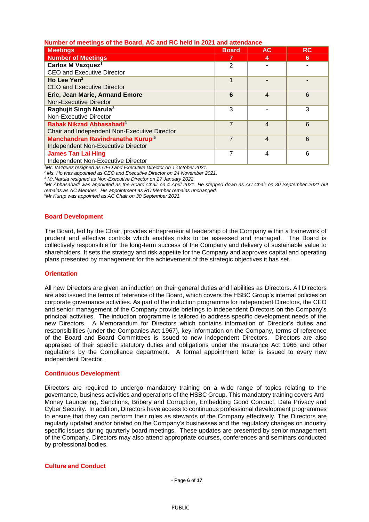## **Number of meetings of the Board, AC and RC held in 2021 and attendance**

| <b>Meetings</b>                              | <b>Board</b> | <b>AC</b>                | <b>RC</b> |
|----------------------------------------------|--------------|--------------------------|-----------|
| <b>Number of Meetings</b>                    |              | 4                        | 6         |
| Carlos M Vazquez <sup>1</sup>                | 2            |                          |           |
| <b>CEO and Executive Director</b>            |              |                          |           |
| Ho Lee Yen <sup>2</sup>                      |              |                          |           |
| CEO and Executive Director                   |              |                          |           |
| Eric, Jean Marie, Armand Emore               | 6            | 4                        | 6         |
| Non-Executive Director                       |              |                          |           |
| Raghujit Singh Narula <sup>3</sup>           | 3            |                          | 3         |
| Non-Executive Director                       |              |                          |           |
| Babak Nikzad Abbasabadi <sup>4</sup>         |              | $\overline{\mathcal{A}}$ | 6         |
| Chair and Independent Non-Executive Director |              |                          |           |
| Manchandran Ravindranatha Kurup <sup>5</sup> | 7            | 4                        | 6         |
| <b>Independent Non-Executive Director</b>    |              |                          |           |
| <b>James Tan Lai Hing</b>                    | 7            | 4                        | 6         |
| Independent Non-Executive Director           |              |                          |           |

*<sup>1</sup>Mr. Vazquez resigned as CEO and Executive Director on 1 October 2021.*

*<sup>2</sup> Ms. Ho was appointed as CEO and Executive Director on 24 November 2021.*

*<sup>3</sup> Mr.Narula resigned as Non-Executive Director on 27 January 2022.*

*<sup>4</sup>Mr Abbasabadi was appointed as the Board Chair on 4 April 2021. He stepped down as AC Chair on 30 September 2021 but remains as AC Member. His appointment as RC Member remains unchanged.* 

*<sup>5</sup>Mr Kurup was appointed as AC Chair on 30 September 2021.*

#### **Board Development**

The Board, led by the Chair, provides entrepreneurial leadership of the Company within a framework of prudent and effective controls which enables risks to be assessed and managed. The Board is collectively responsible for the long-term success of the Company and delivery of sustainable value to shareholders. It sets the strategy and risk appetite for the Company and approves capital and operating plans presented by management for the achievement of the strategic objectives it has set.

### **Orientation**

All new Directors are given an induction on their general duties and liabilities as Directors. All Directors are also issued the terms of reference of the Board, which covers the HSBC Group's internal policies on corporate governance activities. As part of the induction programme for independent Directors, the CEO and senior management of the Company provide briefings to independent Directors on the Company's principal activities. The induction programme is tailored to address specific development needs of the new Directors. A Memorandum for Directors which contains information of Director's duties and responsibilities (under the Companies Act 1967), key information on the Company, terms of reference of the Board and Board Committees is issued to new independent Directors. Directors are also appraised of their specific statutory duties and obligations under the Insurance Act 1966 and other regulations by the Compliance department. A formal appointment letter is issued to every new independent Director.

#### **Continuous Development**

Directors are required to undergo mandatory training on a wide range of topics relating to the governance, business activities and operations of the HSBC Group. This mandatory training covers Anti-Money Laundering, Sanctions, Bribery and Corruption, Embedding Good Conduct, Data Privacy and Cyber Security. In addition, Directors have access to continuous professional development programmes to ensure that they can perform their roles as stewards of the Company effectively. The Directors are regularly updated and/or briefed on the Company's businesses and the regulatory changes on industry specific issues during quarterly board meetings. These updates are presented by senior management of the Company. Directors may also attend appropriate courses, conferences and seminars conducted by professional bodies.

## **Culture and Conduct**

- Page **6** of **17**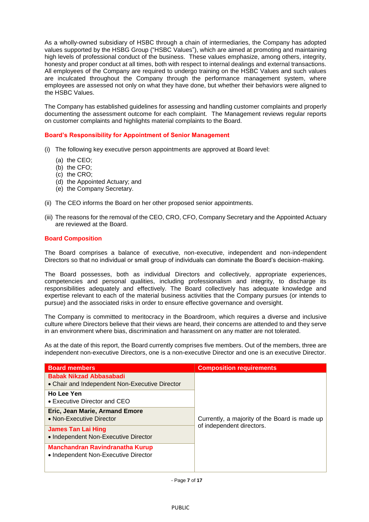As a wholly-owned subsidiary of HSBC through a chain of intermediaries, the Company has adopted values supported by the HSBG Group ("HSBC Values"), which are aimed at promoting and maintaining high levels of professional conduct of the business. These values emphasize, among others, integrity, honesty and proper conduct at all times, both with respect to internal dealings and external transactions. All employees of the Company are required to undergo training on the HSBC Values and such values are inculcated throughout the Company through the performance management system, where employees are assessed not only on what they have done, but whether their behaviors were aligned to the HSBC Values.

The Company has established guidelines for assessing and handling customer complaints and properly documenting the assessment outcome for each complaint. The Management reviews regular reports on customer complaints and highlights material complaints to the Board.

## **Board's Responsibility for Appointment of Senior Management**

- (i) The following key executive person appointments are approved at Board level:
	- (a) the CEO;
	- (b) the CFO;
	- (c) the CRO;
	- (d) the Appointed Actuary; and
	- (e) the Company Secretary.
- (ii) The CEO informs the Board on her other proposed senior appointments.
- (iii) The reasons for the removal of the CEO, CRO, CFO, Company Secretary and the Appointed Actuary are reviewed at the Board.

### **Board Composition**

The Board comprises a balance of executive, non-executive, independent and non-independent Directors so that no individual or small group of individuals can dominate the Board's decision-making.

The Board possesses, both as individual Directors and collectively, appropriate experiences, competencies and personal qualities, including professionalism and integrity, to discharge its responsibilities adequately and effectively. The Board collectively has adequate knowledge and expertise relevant to each of the material business activities that the Company pursues (or intends to pursue) and the associated risks in order to ensure effective governance and oversight.

The Company is committed to meritocracy in the Boardroom, which requires a diverse and inclusive culture where Directors believe that their views are heard, their concerns are attended to and they serve in an environment where bias, discrimination and harassment on any matter are not tolerated.

As at the date of this report, the Board currently comprises five members. Out of the members, three are independent non-executive Directors, one is a non-executive Director and one is an executive Director.

| <b>Board members</b>                                                             | <b>Composition requirements</b>               |  |
|----------------------------------------------------------------------------------|-----------------------------------------------|--|
| <b>Babak Nikzad Abbasabadi</b><br>• Chair and Independent Non-Executive Director |                                               |  |
| Ho Lee Yen<br>• Executive Director and CEO                                       | Currently, a majority of the Board is made up |  |
| Eric, Jean Marie, Armand Emore<br>• Non-Executive Director                       |                                               |  |
| James Tan Lai Hing<br>• Independent Non-Executive Director                       | of independent directors.                     |  |
| <b>Manchandran Ravindranatha Kurup</b><br>• Independent Non-Executive Director   |                                               |  |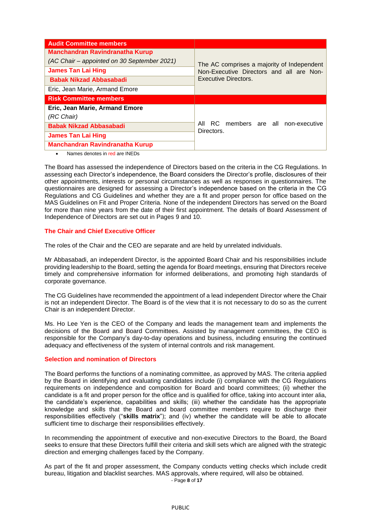| <b>Audit Committee members</b>              |                                                                                                                       |  |
|---------------------------------------------|-----------------------------------------------------------------------------------------------------------------------|--|
| <b>Manchandran Ravindranatha Kurup</b>      | The AC comprises a majority of Independent<br>Non-Executive Directors and all are Non-<br><b>Executive Directors.</b> |  |
| (AC Chair – appointed on 30 September 2021) |                                                                                                                       |  |
| <b>James Tan Lai Hing</b>                   |                                                                                                                       |  |
| <b>Babak Nikzad Abbasabadi</b>              |                                                                                                                       |  |
| Eric, Jean Marie, Armand Emore              |                                                                                                                       |  |
| <b>Risk Committee members</b>               |                                                                                                                       |  |
| Eric, Jean Marie, Armand Emore              |                                                                                                                       |  |
| (RC Chair)                                  |                                                                                                                       |  |
| <b>Babak Nikzad Abbasabadi</b>              | All RC members are all non-executive<br>Directors.                                                                    |  |
| <b>James Tan Lai Hing</b>                   |                                                                                                                       |  |
| <b>Manchandran Ravindranatha Kurup</b>      |                                                                                                                       |  |

Names denotes in red are INEDs

The Board has assessed the independence of Directors based on the criteria in the CG Regulations. In assessing each Director's independence, the Board considers the Director's profile, disclosures of their other appointments, interests or personal circumstances as well as responses in questionnaires. The questionnaires are designed for assessing a Director's independence based on the criteria in the CG Regulations and CG Guidelines and whether they are a fit and proper person for office based on the MAS Guidelines on Fit and Proper Criteria. None of the independent Directors has served on the Board for more than nine years from the date of their first appointment. The details of Board Assessment of Independence of Directors are set out in Pages 9 and 10.

## **The Chair and Chief Executive Officer**

The roles of the Chair and the CEO are separate and are held by unrelated individuals.

Mr Abbasabadi, an independent Director, is the appointed Board Chair and his responsibilities include providing leadership to the Board, setting the agenda for Board meetings, ensuring that Directors receive timely and comprehensive information for informed deliberations, and promoting high standards of corporate governance.

The CG Guidelines have recommended the appointment of a lead independent Director where the Chair is not an independent Director. The Board is of the view that it is not necessary to do so as the current Chair is an independent Director.

Ms. Ho Lee Yen is the CEO of the Company and leads the management team and implements the decisions of the Board and Board Committees. Assisted by management committees, the CEO is responsible for the Company's day-to-day operations and business, including ensuring the continued adequacy and effectiveness of the system of internal controls and risk management.

## **Selection and nomination of Directors**

The Board performs the functions of a nominating committee, as approved by MAS. The criteria applied by the Board in identifying and evaluating candidates include (i) compliance with the CG Regulations requirements on independence and composition for Board and board committees; (ii) whether the candidate is a fit and proper person for the office and is qualified for office, taking into account inter alia, the candidate's experience, capabilities and skills; (iii) whether the candidate has the appropriate knowledge and skills that the Board and board committee members require to discharge their responsibilities effectively ("**skills matrix**"); and (iv) whether the candidate will be able to allocate sufficient time to discharge their responsibilities effectively.

In recommending the appointment of executive and non-executive Directors to the Board, the Board seeks to ensure that these Directors fulfill their criteria and skill sets which are aligned with the strategic direction and emerging challenges faced by the Company.

As part of the fit and proper assessment, the Company conducts vetting checks which include credit bureau, litigation and blacklist searches. MAS approvals, where required, will also be obtained.

- Page **8** of **17**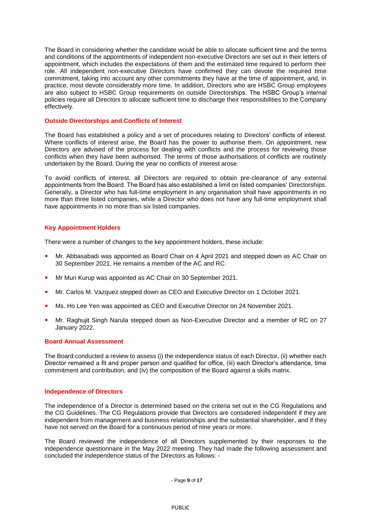The Board in considering whether the candidate would be able to allocate sufficient time and the terms and conditions of the appointments of independent non-executive Directors are set out in their letters of appointment, which includes the expectations of them and the estimated time required to perform their role. All independent non-executive Directors have confirmed they can devote the required time commitment, taking into account any other commitments they have at the time of appointment, and, in practice, most devote considerably more time. In addition, Directors who are HSBC Group employees are also subject to HSBC Group requirements on outside Directorships. The HSBC Group's internal policies require all Directors to allocate sufficient time to discharge their responsibilities to the Company effectively.

### **Outside Directorships and Conflicts of Interest**

The Board has established a policy and a set of procedures relating to Directors' conflicts of interest. Where conflicts of interest arise, the Board has the power to authorise them. On appointment, new Directors are advised of the process for dealing with conflicts and the process for reviewing those conflicts when they have been authorised. The terms of those authorisations of conflicts are routinely undertaken by the Board. During the year no conflicts of interest arose.

To avoid conflicts of interest, all Directors are required to obtain pre-clearance of any external appointments from the Board. The Board has also established a limit on listed companies' Directorships. Generally, a Director who has full-time employment in any organisation shall have appointments in no more than three listed companies, while a Director who does not have any full-time employment shall have appointments in no more than six listed companies.

## **Key Appointment Holders**

There were a number of changes to the key appointment holders, these include:

- Mr. Abbasabadi was appointed as Board Chair on 4 April 2021 and stepped down as AC Chair on 30 September 2021. He remains a member of the AC and RC.
- Mr Mun Kurup was appointed as AC Chair on 30 September 2021.
- Mr. Carlos M. Vazquez stepped down as CEO and Executive Director on 1 October 2021.
- Ms. Ho Lee Yen was appointed as CEO and Executive Director on 24 November 2021.
- Mr. Raghujit Singh Narula stepped down as Non-Executive Director and a member of RC on 27 January 2022.

## **Board Annual Assessment**

The Board conducted a review to assess (i) the independence status of each Director, (ii) whether each Director remained a fit and proper person and qualified for office, (iii) each Director's attendance, time commitment and contribution, and (iv) the composition of the Board against a skills matrix.

### **Independence of Directors**

The independence of a Director is determined based on the criteria set out in the CG Regulations and the CG Guidelines. The CG Regulations provide that Directors are considered independent if they are independent from management and business relationships and the substantial shareholder, and if they have not served on the Board for a continuous period of nine years or more.

The Board reviewed the independence of all Directors supplemented by their responses to the independence questionnaire in the May 2022 meeting. They had made the following assessment and concluded the independence status of the Directors as follows: -

- Page **9** of **17**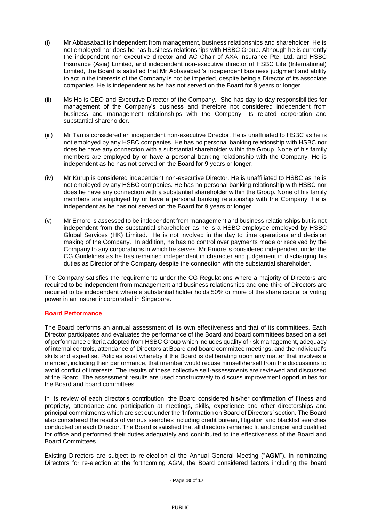- (i) Mr Abbasabadi is independent from management, business relationships and shareholder. He is not employed nor does he has business relationships with HSBC Group. Although he is currently the independent non-executive director and AC Chair of AXA Insurance Pte. Ltd. and HSBC Insurance (Asia) Limited, and independent non-executive director of HSBC Life (International) Limited, the Board is satisfied that Mr Abbasabadi's independent business judgment and ability to act in the interests of the Company is not be impeded, despite being a Director of its associate companies. He is independent as he has not served on the Board for 9 years or longer.
- (ii) Ms Ho is CEO and Executive Director of the Company. She has day-to-day responsibilities for management of the Company's business and therefore not considered independent from business and management relationships with the Company, its related corporation and substantial shareholder.
- (iii) Mr Tan is considered an independent non-executive Director. He is unaffiliated to HSBC as he is not employed by any HSBC companies. He has no personal banking relationship with HSBC nor does he have any connection with a substantial shareholder within the Group. None of his family members are employed by or have a personal banking relationship with the Company. He is independent as he has not served on the Board for 9 years or longer.
- (iv) Mr Kurup is considered independent non-executive Director. He is unaffiliated to HSBC as he is not employed by any HSBC companies. He has no personal banking relationship with HSBC nor does he have any connection with a substantial shareholder within the Group. None of his family members are employed by or have a personal banking relationship with the Company. He is independent as he has not served on the Board for 9 years or longer.
- (v) Mr Emore is assessed to be independent from management and business relationships but is not independent from the substantial shareholder as he is a HSBC employee employed by HSBC Global Services (HK) Limited. He is not involved in the day to time operations and decision making of the Company. In addition, he has no control over payments made or received by the Company to any corporations in which he serves. Mr Emore is considered independent under the CG Guidelines as he has remained independent in character and judgement in discharging his duties as Director of the Company despite the connection with the substantial shareholder.

The Company satisfies the requirements under the CG Regulations where a majority of Directors are required to be independent from management and business relationships and one-third of Directors are required to be independent where a substantial holder holds 50% or more of the share capital or voting power in an insurer incorporated in Singapore.

## **Board Performance**

The Board performs an annual assessment of its own effectiveness and that of its committees. Each Director participates and evaluates the performance of the Board and board committees based on a set of performance criteria adopted from HSBC Group which includes quality of risk management, adequacy of internal controls, attendance of Directors at Board and board committee meetings, and the individual's skills and expertise. Policies exist whereby if the Board is deliberating upon any matter that involves a member, including their performance, that member would recuse himself/herself from the discussions to avoid conflict of interests. The results of these collective self-assessments are reviewed and discussed at the Board. The assessment results are used constructively to discuss improvement opportunities for the Board and board committees.

In its review of each director's contribution, the Board considered his/her confirmation of fitness and propriety, attendance and participation at meetings, skills, experience and other directorships and principal commitments which are set out under the 'Information on Board of Directors' section. The Board also considered the results of various searches including credit bureau, litigation and blacklist searches conducted on each Director. The Board is satisfied that all directors remained fit and proper and qualified for office and performed their duties adequately and contributed to the effectiveness of the Board and Board Committees.

Existing Directors are subject to re-election at the Annual General Meeting ("**AGM**"). In nominating Directors for re-election at the forthcoming AGM, the Board considered factors including the board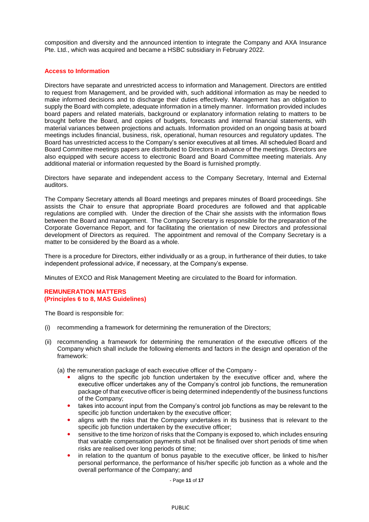composition and diversity and the announced intention to integrate the Company and AXA Insurance Pte. Ltd., which was acquired and became a HSBC subsidiary in February 2022.

## **Access to Information**

Directors have separate and unrestricted access to information and Management. Directors are entitled to request from Management, and be provided with, such additional information as may be needed to make informed decisions and to discharge their duties effectively. Management has an obligation to supply the Board with complete, adequate information in a timely manner. Information provided includes board papers and related materials, background or explanatory information relating to matters to be brought before the Board, and copies of budgets, forecasts and internal financial statements, with material variances between projections and actuals. Information provided on an ongoing basis at board meetings includes financial, business, risk, operational, human resources and regulatory updates. The Board has unrestricted access to the Company's senior executives at all times. All scheduled Board and Board Committee meetings papers are distributed to Directors in advance of the meetings. Directors are also equipped with secure access to electronic Board and Board Committee meeting materials. Any additional material or information requested by the Board is furnished promptly.

Directors have separate and independent access to the Company Secretary, Internal and External auditors.

The Company Secretary attends all Board meetings and prepares minutes of Board proceedings. She assists the Chair to ensure that appropriate Board procedures are followed and that applicable regulations are complied with. Under the direction of the Chair she assists with the information flows between the Board and management. The Company Secretary is responsible for the preparation of the Corporate Governance Report, and for facilitating the orientation of new Directors and professional development of Directors as required. The appointment and removal of the Company Secretary is a matter to be considered by the Board as a whole.

There is a procedure for Directors, either individually or as a group, in furtherance of their duties, to take independent professional advice, if necessary, at the Company's expense.

Minutes of EXCO and Risk Management Meeting are circulated to the Board for information.

### **REMUNERATION MATTERS (Principles 6 to 8, MAS Guidelines)**

The Board is responsible for:

- (i) recommending a framework for determining the remuneration of the Directors;
- (ii) recommending a framework for determining the remuneration of the executive officers of the Company which shall include the following elements and factors in the design and operation of the framework:

(a) the remuneration package of each executive officer of the Company -

- aligns to the specific job function undertaken by the executive officer and, where the executive officer undertakes any of the Company's control job functions, the remuneration package of that executive officer is being determined independently of the business functions of the Company;
- takes into account input from the Company's control job functions as may be relevant to the specific job function undertaken by the executive officer;
- aligns with the risks that the Company undertakes in its business that is relevant to the specific job function undertaken by the executive officer;
- sensitive to the time horizon of risks that the Company is exposed to, which includes ensuring that variable compensation payments shall not be finalised over short periods of time when risks are realised over long periods of time;
- in relation to the quantum of bonus payable to the executive officer, be linked to his/her personal performance, the performance of his/her specific job function as a whole and the overall performance of the Company; and

- Page **11** of **17**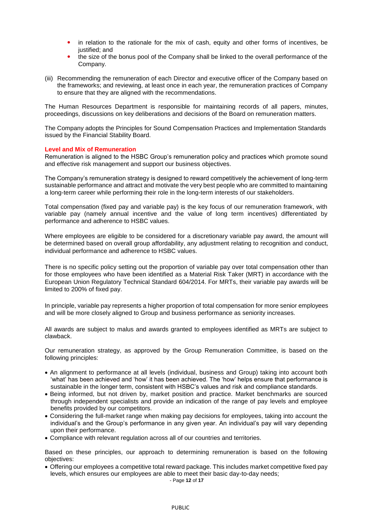- in relation to the rationale for the mix of cash, equity and other forms of incentives, be justified; and
- the size of the bonus pool of the Company shall be linked to the overall performance of the Company.
- (iii) Recommending the remuneration of each Director and executive officer of the Company based on the frameworks; and reviewing, at least once in each year, the remuneration practices of Company to ensure that they are aligned with the recommendations.

The Human Resources Department is responsible for maintaining records of all papers, minutes, proceedings, discussions on key deliberations and decisions of the Board on remuneration matters.

The Company adopts the Principles for Sound Compensation Practices and Implementation Standards issued by the Financial Stability Board.

### **Level and Mix of Remuneration**

Remuneration is aligned to the HSBC Group's remuneration policy and practices which promote sound and effective risk management and support our business objectives.

The Company's remuneration strategy is designed to reward competitively the achievement of long-term sustainable performance and attract and motivate the very best people who are committed to maintaining a long-term career while performing their role in the long-term interests of our stakeholders.

Total compensation (fixed pay and variable pay) is the key focus of our remuneration framework, with variable pay (namely annual incentive and the value of long term incentives) differentiated by performance and adherence to HSBC values.

Where employees are eligible to be considered for a discretionary variable pay award, the amount will be determined based on overall group affordability, any adjustment relating to recognition and conduct, individual performance and adherence to HSBC values.

There is no specific policy setting out the proportion of variable pay over total compensation other than for those employees who have been identified as a Material Risk Taker (MRT) in accordance with the European Union Regulatory Technical Standard 604/2014. For MRTs, their variable pay awards will be limited to 200% of fixed pay.

In principle, variable pay represents a higher proportion of total compensation for more senior employees and will be more closely aligned to Group and business performance as seniority increases.

All awards are subject to malus and awards granted to employees identified as MRTs are subject to clawback.

Our remuneration strategy, as approved by the Group Remuneration Committee, is based on the following principles:

- An alignment to performance at all levels (individual, business and Group) taking into account both 'what' has been achieved and 'how' it has been achieved. The 'how' helps ensure that performance is sustainable in the longer term, consistent with HSBC's values and risk and compliance standards.
- Being informed, but not driven by, market position and practice. Market benchmarks are sourced through independent specialists and provide an indication of the range of pay levels and employee benefits provided by our competitors.
- Considering the full-market range when making pay decisions for employees, taking into account the individual's and the Group's performance in any given year. An individual's pay will vary depending upon their performance.
- Compliance with relevant regulation across all of our countries and territories.

Based on these principles, our approach to determining remuneration is based on the following objectives:

 Offering our employees a competitive total reward package. This includes market competitive fixed pay levels, which ensures our employees are able to meet their basic day-to-day needs;

- Page **12** of **17**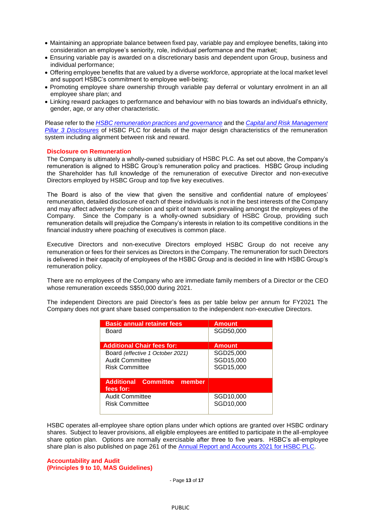- Maintaining an appropriate balance between fixed pay, variable pay and employee benefits, taking into consideration an employee's seniority, role, individual performance and the market;
- Ensuring variable pay is awarded on a discretionary basis and dependent upon Group, business and individual performance;
- Offering employee benefits that are valued by a diverse workforce, appropriate at the local market level and support HSBC's commitment to employee well-being;
- Promoting employee share ownership through variable pay deferral or voluntary enrolment in an all employee share plan; and
- Linking reward packages to performance and behaviour with no bias towards an individual's ethnicity, gender, age, or any other characteristic.

Please refer to the *[HSBC remuneration practices and governance](https://www.hsbc.com/who-we-are/leadership-and-governance/remuneration)* and the *[Capital and Risk Management](file:///C:/Users/43601266/Downloads/220222-pillar-3-disclosures-at-31-december-2021.pdf)  [Pillar 3 Disclosures](file:///C:/Users/43601266/Downloads/220222-pillar-3-disclosures-at-31-december-2021.pdf)* of HSBC PLC for details of the major design characteristics of the remuneration system including alignment between risk and reward.

#### **Disclosure on Remuneration**

The Company is ultimately a wholly-owned subsidiary of HSBC PLC. As set out above, the Company's remuneration is aligned to HSBC Group's remuneration policy and practices. HSBC Group including the Shareholder has full knowledge of the remuneration of executive Director and non-executive Directors employed by HSBC Group and top five key executives.

The Board is also of the view that given the sensitive and confidential nature of employees' remuneration, detailed disclosure of each of these individuals is not in the best interests of the Company and may affect adversely the cohesion and spirit of team work prevailing amongst the employees of the Company. Since the Company is a wholly-owned subsidiary of HSBC Group, providing such remuneration details will prejudice the Company's interests in relation to its competitive conditions in the financial industry where poaching of executives is common place.

Executive Directors and non-executive Directors employed HSBC Group do not receive any remuneration or fees for their services as Directors in the Company. The remuneration for such Directors is delivered in their capacity of employees of the HSBC Group and is decided in line with HSBC Group's remuneration policy.

There are no employees of the Company who are immediate family members of a Director or the CEO whose remuneration exceeds S\$50,000 during 2021.

The independent Directors are paid Director's fees as per table below per annum for FY2021 The Company does not grant share based compensation to the independent non-executive Directors.

| <b>Basic annual retainer fees</b>                                                   | <b>Amount</b>                       |
|-------------------------------------------------------------------------------------|-------------------------------------|
| Board                                                                               | SGD50,000                           |
| <b>Additional Chair fees for:</b>                                                   | <b>Amount</b>                       |
| Board (effective 1 October 2021)<br><b>Audit Committee</b><br><b>Risk Committee</b> | SGD25,000<br>SGD15,000<br>SGD15,000 |
| <b>Additional Committee member</b><br>fees for:                                     |                                     |
| <b>Audit Committee</b><br><b>Risk Committee</b>                                     | SGD10,000<br>SGD10,000              |

HSBC operates all-employee share option plans under which options are granted over HSBC ordinary shares. Subject to leaver provisions, all eligible employees are entitled to participate in the all-employee share option plan. Options are normally exercisable after three to five years. HSBC's all-employee share plan is also published on page 261 of the [Annual Report and Accounts 2021](https://www.hsbc.com/-/files/hsbc/investors/hsbc-results/2021/annual/pdfs/hsbc-holdings-plc/220222-annual-report-and-accounts-2021.pdf?download=1) for HSBC PLC.

#### **Accountability and Audit (Principles 9 to 10, MAS Guidelines)**

- Page **13** of **17**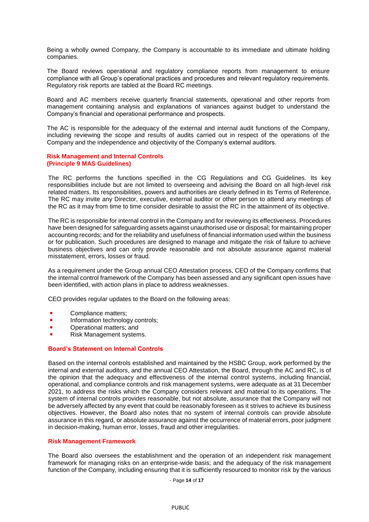Being a wholly owned Company, the Company is accountable to its immediate and ultimate holding companies.

The Board reviews operational and regulatory compliance reports from management to ensure compliance with all Group's operational practices and procedures and relevant regulatory requirements. Regulatory risk reports are tabled at the Board RC meetings.

Board and AC members receive quarterly financial statements, operational and other reports from management containing analysis and explanations of variances against budget to understand the Company's financial and operational performance and prospects.

The AC is responsible for the adequacy of the external and internal audit functions of the Company, including reviewing the scope and results of audits carried out in respect of the operations of the Company and the independence and objectivity of the Company's external auditors.

#### **Risk Management and Internal Controls (Principle 9 MAS Guidelines)**

The RC performs the functions specified in the CG Regulations and CG Guidelines. Its key responsibilities include but are not limited to overseeing and advising the Board on all high-level risk related matters. Its responsibilities, powers and authorities are clearly defined in its Terms of Reference. The RC may invite any Director, executive, external auditor or other person to attend any meetings of the RC as it may from time to time consider desirable to assist the RC in the attainment of its objective.

The RC is responsible for internal control in the Company and for reviewing its effectiveness. Procedures have been designed for safeguarding assets against unauthorised use or disposal; for maintaining proper accounting records; and for the reliability and usefulness of financial information used within the business or for publication. Such procedures are designed to manage and mitigate the risk of failure to achieve business objectives and can only provide reasonable and not absolute assurance against material misstatement, errors, losses or fraud.

As a requirement under the Group annual CEO Attestation process, CEO of the Company confirms that the internal control framework of the Company has been assessed and any significant open issues have been identified, with action plans in place to address weaknesses.

CEO provides regular updates to the Board on the following areas:

- Compliance matters;
- Information technology controls;
- Operational matters; and
- Risk Management systems.

### **Board's Statement on Internal Controls**

Based on the internal controls established and maintained by the HSBC Group, work performed by the internal and external auditors, and the annual CEO Attestation, the Board, through the AC and RC, is of the opinion that the adequacy and effectiveness of the internal control systems, including financial, operational, and compliance controls and risk management systems, were adequate as at 31 December 2021, to address the risks which the Company considers relevant and material to its operations. The system of internal controls provides reasonable, but not absolute, assurance that the Company will not be adversely affected by any event that could be reasonably foreseen as it strives to achieve its business objectives. However, the Board also notes that no system of internal controls can provide absolute assurance in this regard, or absolute assurance against the occurrence of material errors, poor judgment in decision-making, human error, losses, fraud and other irregularities.

### **Risk Management Framework**

The Board also oversees the establishment and the operation of an independent risk management framework for managing risks on an enterprise-wide basis; and the adequacy of the risk management function of the Company, including ensuring that it is sufficiently resourced to monitor risk by the various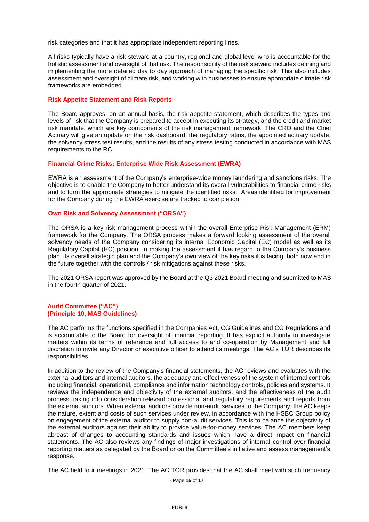risk categories and that it has appropriate independent reporting lines.

All risks typically have a risk steward at a country, regional and global level who is accountable for the holistic assessment and oversight of that risk. The responsibility of the risk steward includes defining and implementing the more detailed day to day approach of managing the specific risk. This also includes assessment and oversight of climate risk, and working with businesses to ensure appropriate climate risk frameworks are embedded.

### **Risk Appetite Statement and Risk Reports**

The Board approves, on an annual basis, the risk appetite statement, which describes the types and levels of risk that the Company is prepared to accept in executing its strategy, and the credit and market risk mandate, which are key components of the risk management framework. The CRO and the Chief Actuary will give an update on the risk dashboard, the regulatory ratios, the appointed actuary update, the solvency stress test results, and the results of any stress testing conducted in accordance with MAS requirements to the RC.

### **Financial Crime Risks: Enterprise Wide Risk Assessment (EWRA)**

EWRA is an assessment of the Company's enterprise-wide money laundering and sanctions risks. The objective is to enable the Company to better understand its overall vulnerabilities to financial crime risks and to form the appropriate strategies to mitigate the identified risks. Areas identified for improvement for the Company during the EWRA exercise are tracked to completion.

### **Own Risk and Solvency Assessment ("ORSA")**

The ORSA is a key risk management process within the overall Enterprise Risk Management (ERM) framework for the Company. The ORSA process makes a forward looking assessment of the overall solvency needs of the Company considering its internal Economic Capital (EC) model as well as its Regulatory Capital (RC) position. In making the assessment it has regard to the Company's business plan, its overall strategic plan and the Company's own view of the key risks it is facing, both now and in the future together with the controls / risk mitigations against these risks.

The 2021 ORSA report was approved by the Board at the Q3 2021 Board meeting and submitted to MAS in the fourth quarter of 2021.

### **Audit Committee ("AC") (Principle 10, MAS Guidelines)**

The AC performs the functions specified in the Companies Act, CG Guidelines and CG Regulations and is accountable to the Board for oversight of financial reporting. It has explicit authority to investigate matters within its terms of reference and full access to and co-operation by Management and full discretion to invite any Director or executive officer to attend its meetings. The AC's TOR describes its responsibilities.

In addition to the review of the Company's financial statements, the AC reviews and evaluates with the external auditors and internal auditors, the adequacy and effectiveness of the system of internal controls including financial, operational, compliance and information technology controls, policies and systems. It reviews the independence and objectivity of the external auditors, and the effectiveness of the audit process, taking into consideration relevant professional and regulatory requirements and reports from the external auditors. When external auditors provide non-audit services to the Company, the AC keeps the nature, extent and costs of such services under review, in accordance with the HSBC Group policy on engagement of the external auditor to supply non-audit services. This is to balance the objectivity of the external auditors against their ability to provide value-for-money services. The AC members keep abreast of changes to accounting standards and issues which have a direct impact on financial statements. The AC also reviews any findings of major investigations of internal control over financial reporting matters as delegated by the Board or on the Committee's initiative and assess management's response.

The AC held four meetings in 2021. The AC TOR provides that the AC shall meet with such frequency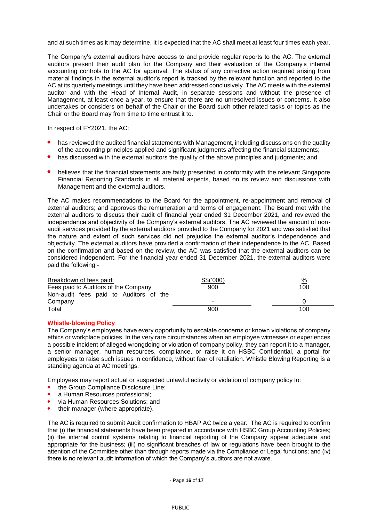and at such times as it may determine. It is expected that the AC shall meet at least four times each year.

The Company's external auditors have access to and provide regular reports to the AC. The external auditors present their audit plan for the Company and their evaluation of the Company's internal accounting controls to the AC for approval. The status of any corrective action required arising from material findings in the external auditor's report is tracked by the relevant function and reported to the AC at its quarterly meetings until they have been addressed conclusively. The AC meets with the external auditor and with the Head of Internal Audit, in separate sessions and without the presence of Management, at least once a year, to ensure that there are no unresolved issues or concerns. It also undertakes or considers on behalf of the Chair or the Board such other related tasks or topics as the Chair or the Board may from time to time entrust it to.

In respect of FY2021, the AC:

- has reviewed the audited financial statements with Management, including discussions on the quality of the accounting principles applied and significant judgments affecting the financial statements;
- has discussed with the external auditors the quality of the above principles and judgments; and
- believes that the financial statements are fairly presented in conformity with the relevant Singapore Financial Reporting Standards in all material aspects, based on its review and discussions with Management and the external auditors.

The AC makes recommendations to the Board for the appointment, re-appointment and removal of external auditors; and approves the remuneration and terms of engagement. The Board met with the external auditors to discuss their audit of financial year ended 31 December 2021, and reviewed the independence and objectivity of the Company's external auditors. The AC reviewed the amount of nonaudit services provided by the external auditors provided to the Company for 2021 and was satisfied that the nature and extent of such services did not prejudice the external auditor's independence and objectivity. The external auditors have provided a confirmation of their independence to the AC. Based on the confirmation and based on the review, the AC was satisfied that the external auditors can be considered independent. For the financial year ended 31 December 2021, the external auditors were paid the following:-

| Breakdown of fees paid:                | S\$('000) | $\frac{9}{6}$ |
|----------------------------------------|-----------|---------------|
| Fees paid to Auditors of the Company   | 900       | 100           |
| Non-audit fees paid to Auditors of the |           |               |
| Company                                | -         |               |
| Total                                  | 900       | 100           |

### **Whistle-blowing Policy**

The Company's employees have every opportunity to escalate concerns or known violations of company ethics or workplace policies. In the very rare circumstances when an employee witnesses or experiences a possible incident of alleged wrongdoing or violation of company policy, they can report it to a manager, a senior manager, human resources, compliance, or raise it on HSBC Confidential, a portal for employees to raise such issues in confidence, without fear of retaliation. Whistle Blowing Reporting is a standing agenda at AC meetings.

Employees may report actual or suspected unlawful activity or violation of company policy to:

- the Group Compliance Disclosure Line;
- a Human Resources professional;
- via Human Resources Solutions; and
- their manager (where appropriate).

The AC is required to submit Audit confirmation to HBAP AC twice a year. The AC is required to confirm that (i) the financial statements have been prepared in accordance with HSBC Group Accounting Policies; (ii) the internal control systems relating to financial reporting of the Company appear adequate and appropriate for the business; (iii) no significant breaches of law or regulations have been brought to the attention of the Committee other than through reports made via the Compliance or Legal functions; and (iv) there is no relevant audit information of which the Company's auditors are not aware.

- Page **16** of **17**